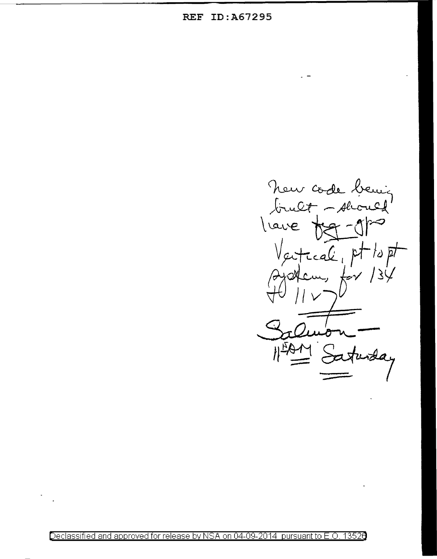**REF ID:A67295** 

New code bening l'ave real pt  $to \vec{p}$ Cm,  $\star \sim$ Saturda

Declassified and approved for release by NSA on 04-09-2014 pursuant to E.O. 13526

 $\ddot{\phantom{0}}$